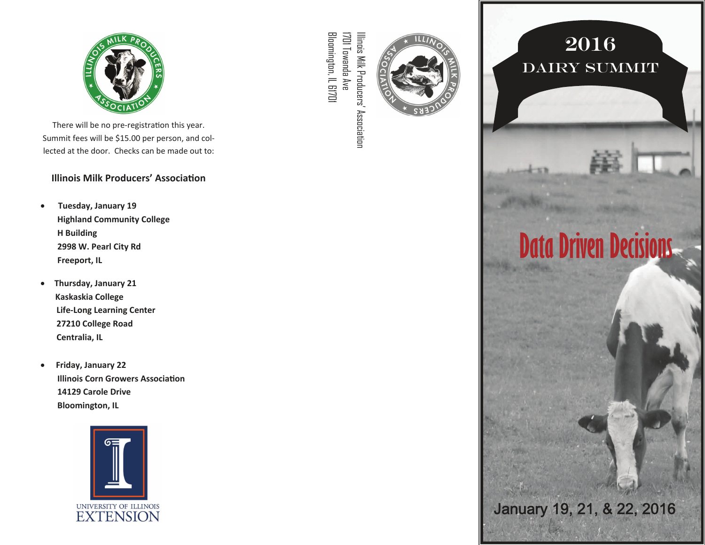

There will be no pre-registration this year. Summit fees will be \$15.00 per person, and col‐ lected at the door. Checks can be made out to:

#### **Illinois Milk Producers' AssociaƟon**

- **Tuesday, January 19 Highland Community College H Building 2998 W. Pearl City Rd Freeport, IL**
- $\bullet$  **Thursday, January 21 Kaskaskia College Life‐Long Learning Center 27210 College Road Centralia, IL**
- $\bullet$  **Friday, January 22 Illinois Corn Growers AssociaƟon 14129 Carole Drive Bloomington, IL**



Bloomington, IL 61701 Bloomington, IL 61701 1701 Towanda Ave 1701 Towanda Ave Illinois Milk Producers' Association Illinois Milk Producers' Association



## 2016 Dairy Summit

**Data Driven Decisions** 

January 19, 21, & 22, 2016